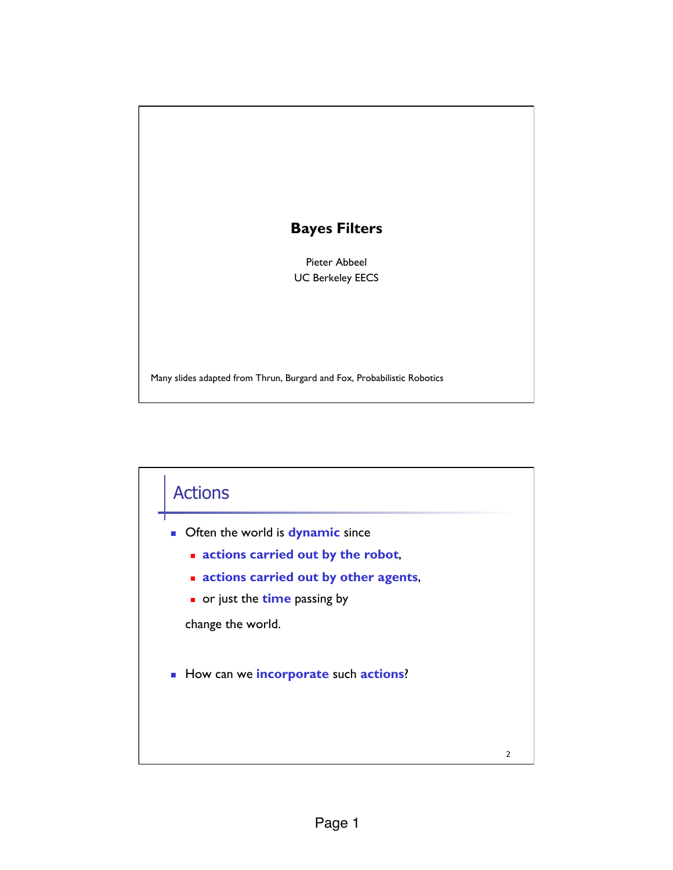## **Bayes Filters**

Pieter Abbeel UC Berkeley EECS

Many slides adapted from Thrun, Burgard and Fox, Probabilistic Robotics

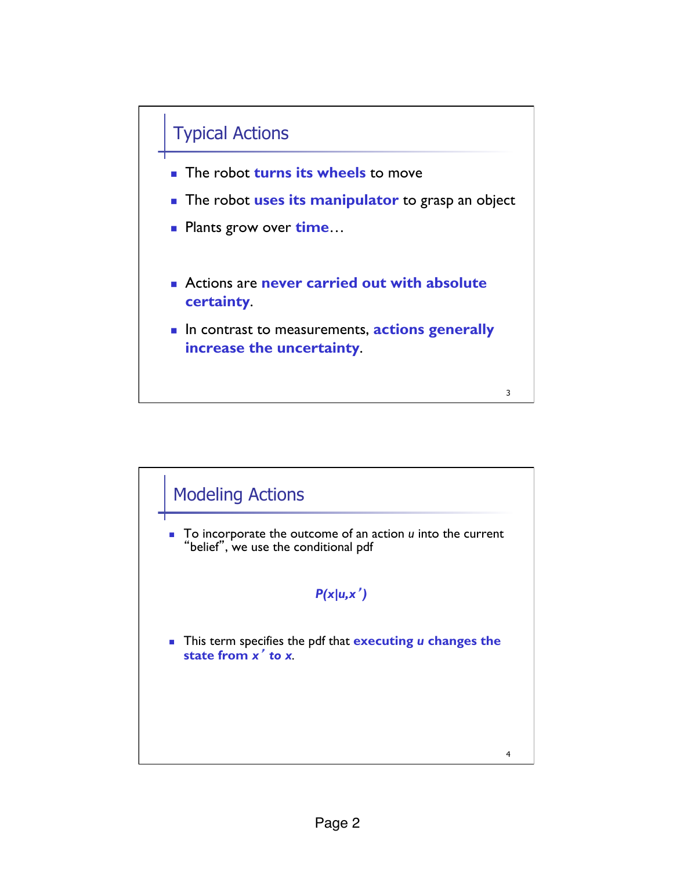

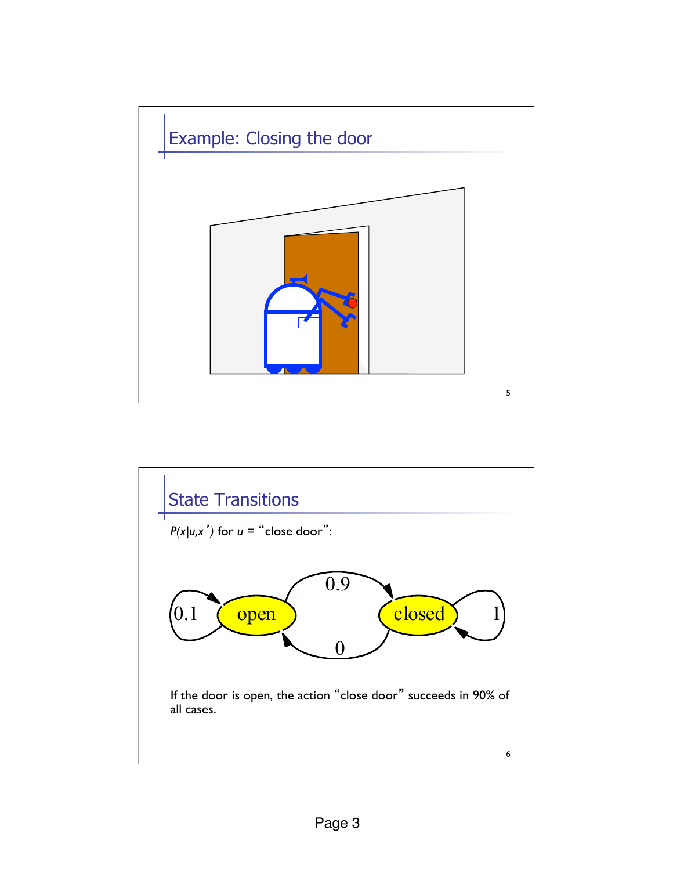

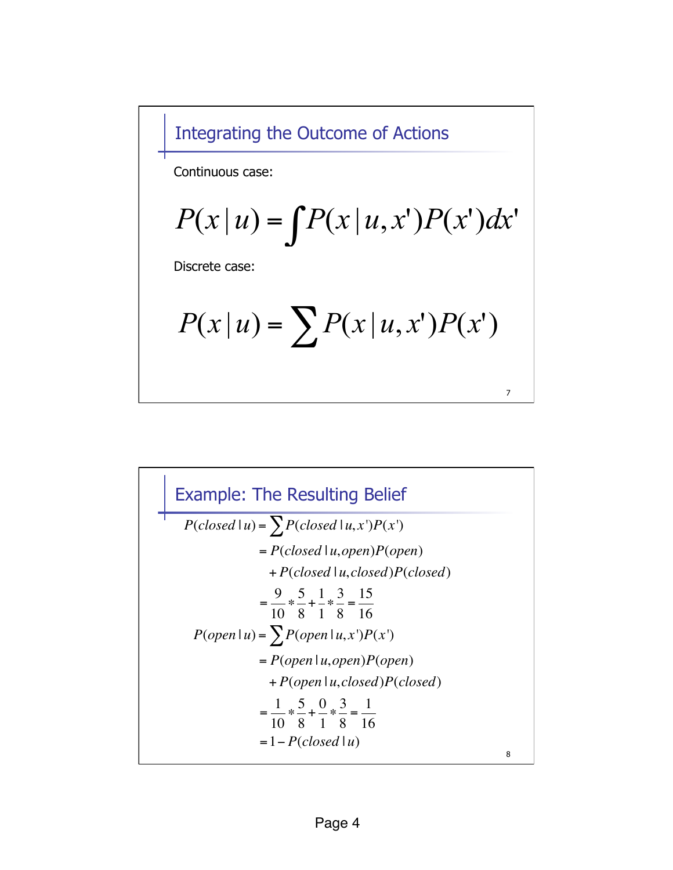Integrating the Outcome of Actions

Continuous case:

$$
P(x | u) = \int P(x | u, x') P(x') dx'
$$

Discrete case:

$$
P(x | u) = \sum P(x | u, x') P(x')
$$

7

8 Example: The Resulting Belief  $P(\text{closed} \mid u) = \sum P(\text{closed} \mid u, x')P(x')$ = *P*(*closed* | *u*,*open*)*P*(*open*) + *P*(*closed* | *u*, *closed*)*P*(*closed*)  $=\frac{9}{16}$ 10 " 5 8 + 1 1 " 3 8  $=\frac{15}{16}$ 16  $P(open | u) = \sum P(open | u, x')P(x')$  $= P(open | u, open)P(open)$ + *P*(*open* | *u*, *closed*)*P*(*closed*)  $=\frac{1}{16}$ 10 " 5 8 + 0 1 " 3 8  $=\frac{1}{16}$ 16  $= 1 - P(closed | u)$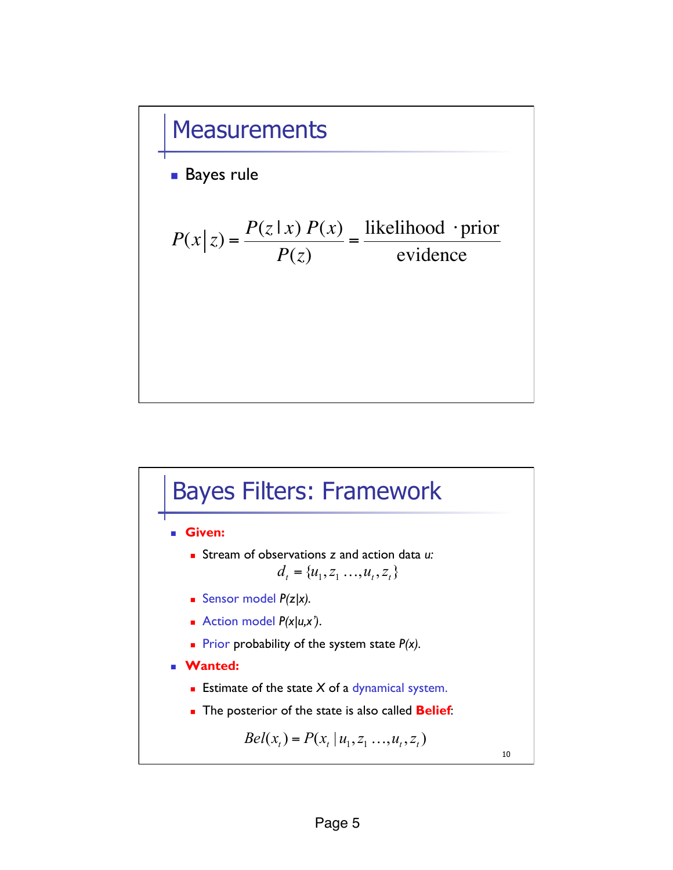

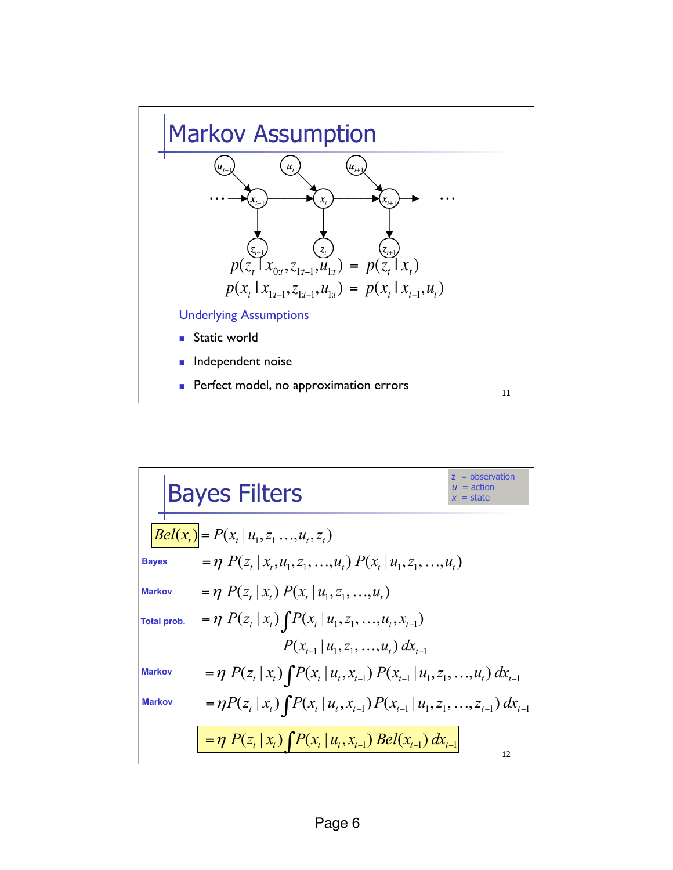

**Bayes Filters**  
\n
$$
\frac{B}{Bell(x_t)} = P(x_t | u_1, z_1 ..., u_t, z_t)
$$
\n
$$
= \eta P(z_t | x_t, u_1, z_1, ..., u_t) P(x_t | u_1, z_1, ..., u_t)
$$
\n
$$
= \eta P(z_t | x_t) P(x_t | u_1, z_1, ..., u_t)
$$
\n
$$
= \eta P(z_t | x_t) \int P(x_t | u_1, z_1, ..., u_t, x_{t-1}) P(x_{t-1} | u_1, z_1, ..., u_t) dx_{t-1}
$$
\n
$$
= \eta P(z_t | x_t) \int P(x_t | u_1, z_1, ..., u_t) dx_{t-1}
$$
\n
$$
= \eta P(z_t | x_t) \int P(x_t | u_t, x_{t-1}) P(x_{t-1} | u_1, z_1, ..., u_t) dx_{t-1}
$$
\n
$$
= \eta P(z_t | x_t) \int P(x_t | u_t, x_{t-1}) P(x_{t-1} | u_1, z_1, ..., z_{t-1}) dx_{t-1}
$$
\n
$$
= \eta P(z_t | x_t) \int P(x_t | u_t, x_{t-1}) Bell(x_{t-1}) dx_{t-1}
$$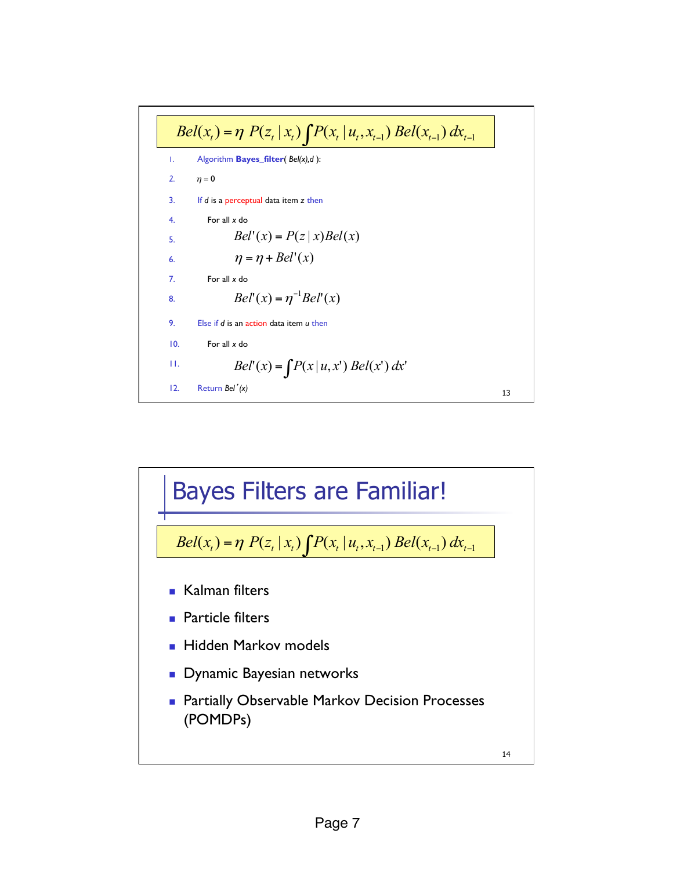

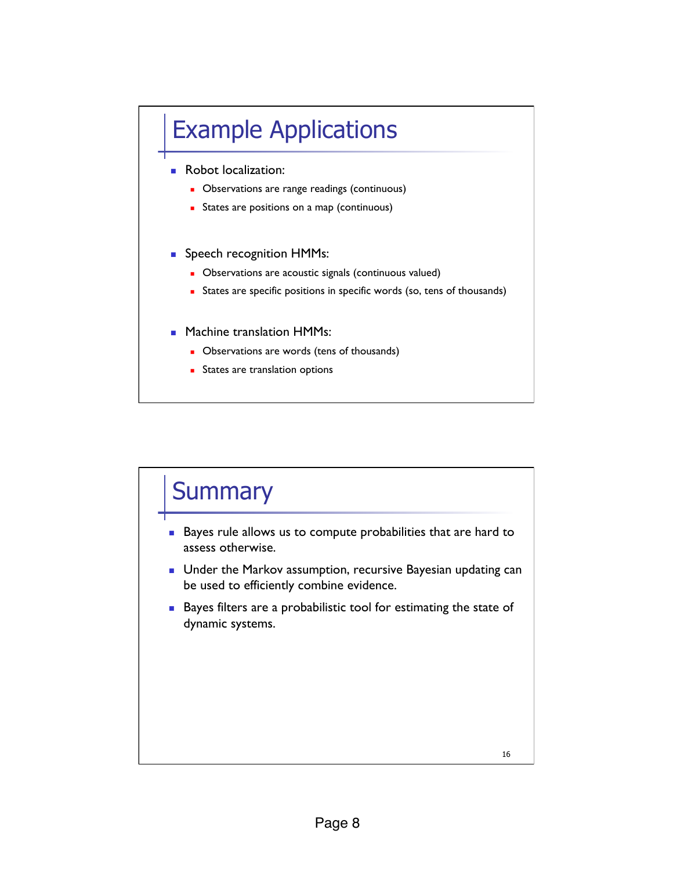## Example Applications

- **Robot localization:** 
	- **.** Observations are range readings (continuous)
	- **EXECUTE:** States are positions on a map (continuous)
- **BEER:** Speech recognition HMMs:
	- **.** Observations are acoustic signals (continuous valued)
	- ! States are specific positions in specific words (so, tens of thousands)
- **E.** Machine translation HMMs:
	- **.** Observations are words (tens of thousands)
	- **EXECUTE:** States are translation options

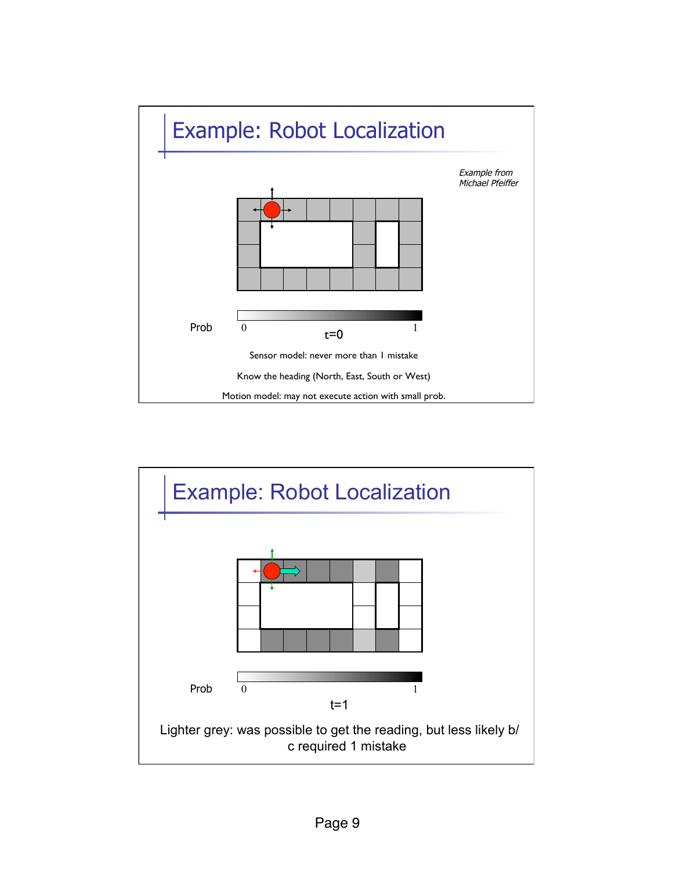

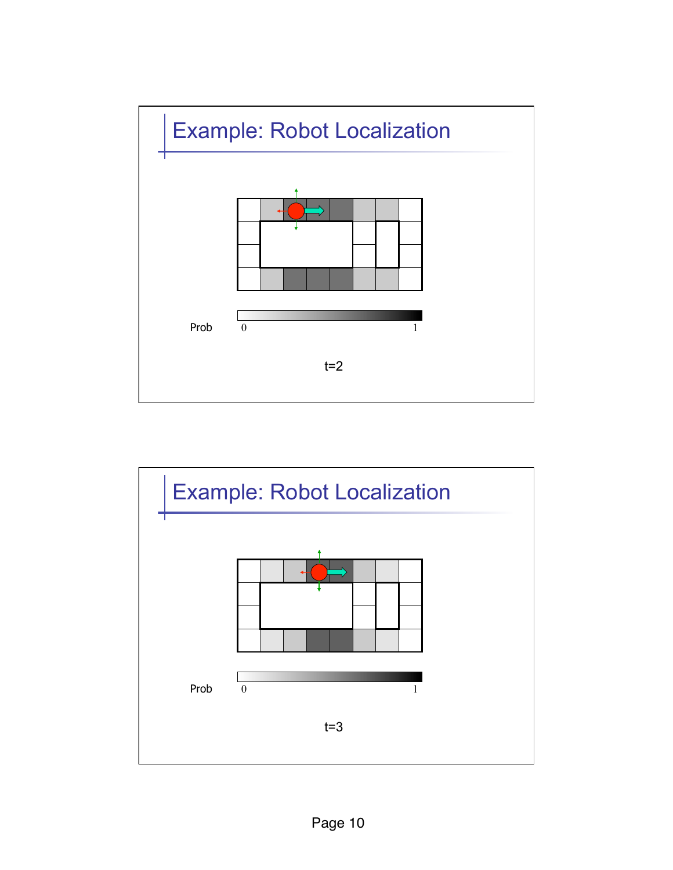

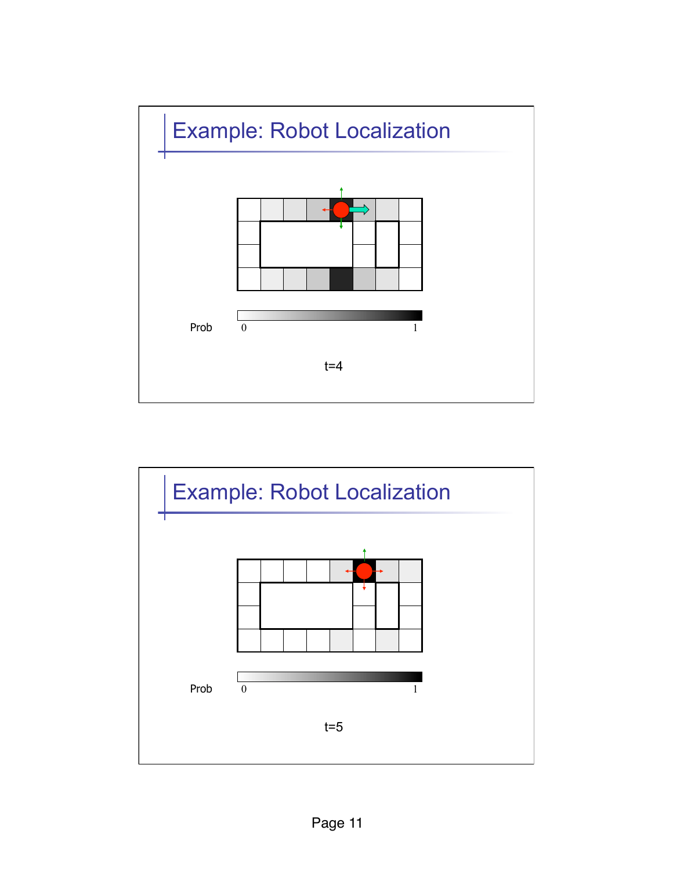